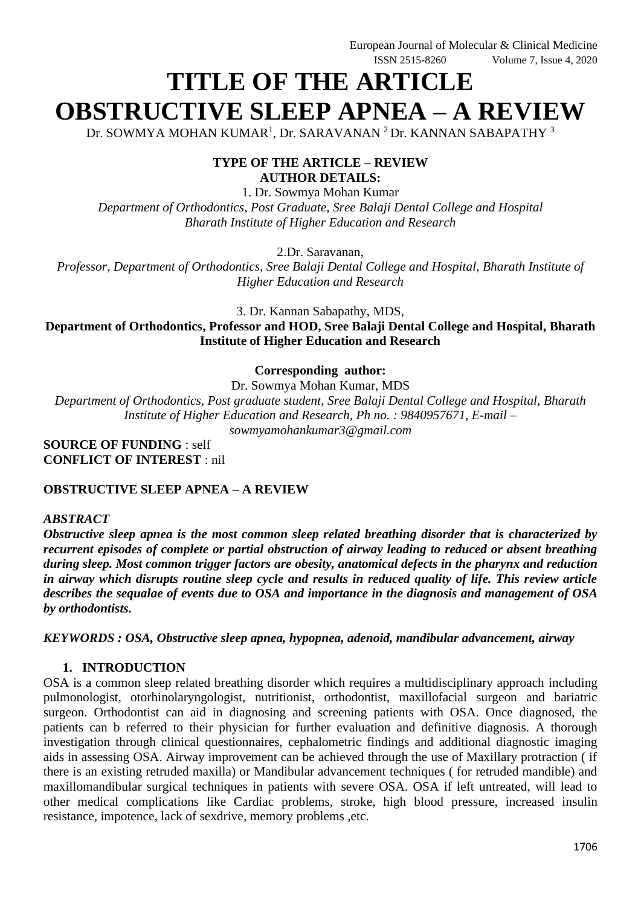# **TITLE OF THE ARTICLE OBSTRUCTIVE SLEEP APNEA – A REVIEW**

Dr. SOWMYA MOHAN KUMAR<sup>1</sup>, Dr. SARAVANAN  $^2$ Dr. KANNAN SABAPATHY  $^3$ 

## **TYPE OF THE ARTICLE – REVIEW AUTHOR DETAILS:**

1. Dr. Sowmya Mohan Kumar *Department of Orthodontics, Post Graduate, Sree Balaji Dental College and Hospital Bharath Institute of Higher Education and Research*

2.Dr. Saravanan,

*Professor*, *Department of Orthodontics, Sree Balaji Dental College and Hospital, Bharath Institute of Higher Education and Research*

3. Dr. Kannan Sabapathy, MDS,

**Department of Orthodontics, Professor and HOD, Sree Balaji Dental College and Hospital, Bharath Institute of Higher Education and Research**

**Corresponding author:**

Dr. Sowmya Mohan Kumar, MDS

*Department of Orthodontics, Post graduate student, Sree Balaji Dental College and Hospital, Bharath Institute of Higher Education and Research, Ph no. : 9840957671, E-mail –*

*sowmyamohankumar3@gmail.com*

**SOURCE OF FUNDING** : self **CONFLICT OF INTEREST** : nil

#### **OBSTRUCTIVE SLEEP APNEA – A REVIEW**

#### *ABSTRACT*

*Obstructive sleep apnea is the most common sleep related breathing disorder that is characterized by recurrent episodes of complete or partial obstruction of airway leading to reduced or absent breathing during sleep. Most common trigger factors are obesity, anatomical defects in the pharynx and reduction in airway which disrupts routine sleep cycle and results in reduced quality of life. This review article describes the sequalae of events due to OSA and importance in the diagnosis and management of OSA by orthodontists.*

*KEYWORDS : OSA, Obstructive sleep apnea, hypopnea, adenoid, mandibular advancement, airway*

#### **1. INTRODUCTION**

OSA is a common sleep related breathing disorder which requires a multidisciplinary approach including pulmonologist, otorhinolaryngologist, nutritionist, orthodontist, maxillofacial surgeon and bariatric surgeon. Orthodontist can aid in diagnosing and screening patients with OSA. Once diagnosed, the patients can b referred to their physician for further evaluation and definitive diagnosis. A thorough investigation through clinical questionnaires, cephalometric findings and additional diagnostic imaging aids in assessing OSA. Airway improvement can be achieved through the use of Maxillary protraction ( if there is an existing retruded maxilla) or Mandibular advancement techniques ( for retruded mandible) and maxillomandibular surgical techniques in patients with severe OSA. OSA if left untreated, will lead to other medical complications like Cardiac problems, stroke, high blood pressure, increased insulin resistance, impotence, lack of sexdrive, memory problems ,etc.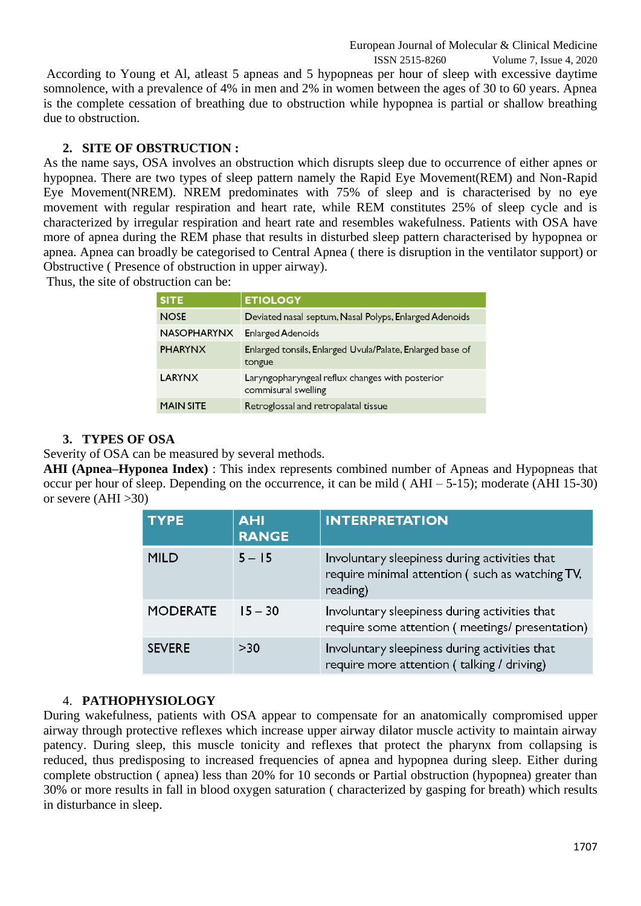ISSN 2515-8260 Volume 7, Issue 4, 2020 According to Young et Al, atleast 5 apneas and 5 hypopneas per hour of sleep with excessive daytime somnolence, with a prevalence of 4% in men and 2% in women between the ages of 30 to 60 years. Apnea is the complete cessation of breathing due to obstruction while hypopnea is partial or shallow breathing due to obstruction.

#### **2. SITE OF OBSTRUCTION :**

As the name says, OSA involves an obstruction which disrupts sleep due to occurrence of either apnes or hypopnea. There are two types of sleep pattern namely the Rapid Eye Movement(REM) and Non-Rapid Eye Movement(NREM). NREM predominates with 75% of sleep and is characterised by no eye movement with regular respiration and heart rate, while REM constitutes 25% of sleep cycle and is characterized by irregular respiration and heart rate and resembles wakefulness. Patients with OSA have more of apnea during the REM phase that results in disturbed sleep pattern characterised by hypopnea or apnea. Apnea can broadly be categorised to Central Apnea ( there is disruption in the ventilator support) or Obstructive ( Presence of obstruction in upper airway).

Thus, the site of obstruction can be:

| <b>SITE</b>        | <b>ETIOLOGY</b>                                                        |  |
|--------------------|------------------------------------------------------------------------|--|
| <b>NOSE</b>        | Deviated nasal septum, Nasal Polyps, Enlarged Adenoids                 |  |
| <b>NASOPHARYNX</b> | <b>Enlarged Adenoids</b>                                               |  |
| <b>PHARYNX</b>     | Enlarged tonsils, Enlarged Uvula/Palate, Enlarged base of<br>tongue    |  |
| <b>LARYNX</b>      | Laryngopharyngeal reflux changes with posterior<br>commisural swelling |  |
| <b>MAIN SITE</b>   | Retroglossal and retropalatal tissue                                   |  |

## **3. TYPES OF OSA**

Severity of OSA can be measured by several methods.

**AHI (Apnea–Hyponea Index)** : This index represents combined number of Apneas and Hypopneas that occur per hour of sleep. Depending on the occurrence, it can be mild ( AHI – 5-15); moderate (AHI 15-30) or severe  $(AHI > 30)$ 

| <b>TYPE</b>     | <b>AHI</b><br><b>RANGE</b> | <b>INTERPRETATION</b>                                                                                        |
|-----------------|----------------------------|--------------------------------------------------------------------------------------------------------------|
| <b>MILD</b>     | $5 - 15$                   | Involuntary sleepiness during activities that<br>require minimal attention (such as watching TV,<br>reading) |
| <b>MODERATE</b> | $15 - 30$                  | Involuntary sleepiness during activities that<br>require some attention (meetings/presentation)              |
| <b>SEVERE</b>   | > 30                       | Involuntary sleepiness during activities that<br>require more attention (talking / driving)                  |

## 4. **PATHOPHYSIOLOGY**

During wakefulness, patients with OSA appear to compensate for an anatomically compromised upper airway through protective reflexes which increase upper airway dilator muscle activity to maintain airway patency. During sleep, this muscle tonicity and reflexes that protect the pharynx from collapsing is reduced, thus predisposing to increased frequencies of apnea and hypopnea during sleep. Either during complete obstruction ( apnea) less than 20% for 10 seconds or Partial obstruction (hypopnea) greater than 30% or more results in fall in blood oxygen saturation ( characterized by gasping for breath) which results in disturbance in sleep.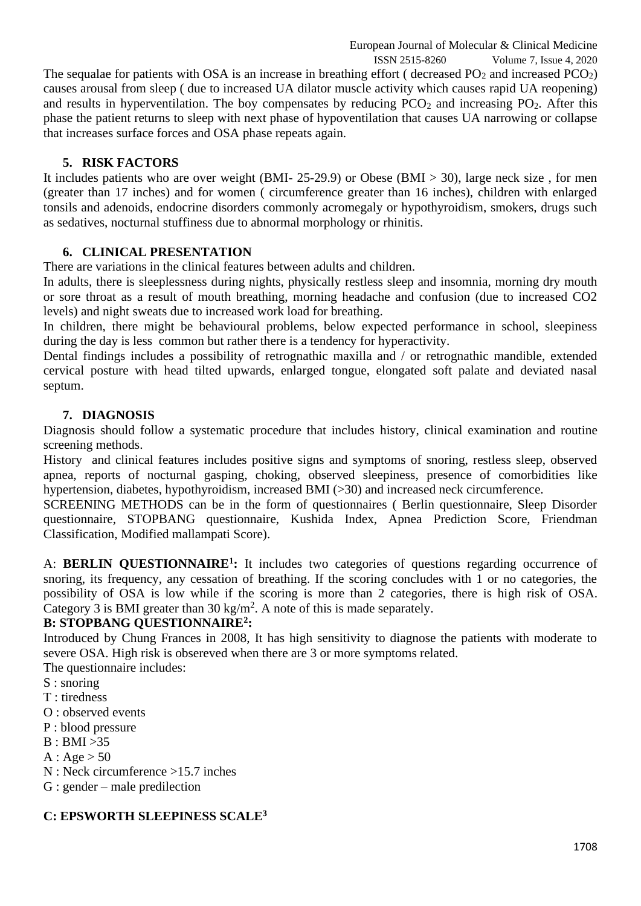ISSN 2515-8260 Volume 7, Issue 4, 2020 The sequalae for patients with OSA is an increase in breathing effort (decreased  $PO<sub>2</sub>$  and increased  $PCO<sub>2</sub>$ ) causes arousal from sleep ( due to increased UA dilator muscle activity which causes rapid UA reopening) and results in hyperventilation. The boy compensates by reducing  $PCO<sub>2</sub>$  and increasing  $PO<sub>2</sub>$ . After this phase the patient returns to sleep with next phase of hypoventilation that causes UA narrowing or collapse that increases surface forces and OSA phase repeats again.

# **5. RISK FACTORS**

It includes patients who are over weight (BMI- 25-29.9) or Obese (BMI > 30), large neck size , for men (greater than 17 inches) and for women ( circumference greater than 16 inches), children with enlarged tonsils and adenoids, endocrine disorders commonly acromegaly or hypothyroidism, smokers, drugs such as sedatives, nocturnal stuffiness due to abnormal morphology or rhinitis.

# **6. CLINICAL PRESENTATION**

There are variations in the clinical features between adults and children.

In adults, there is sleeplessness during nights, physically restless sleep and insomnia, morning dry mouth or sore throat as a result of mouth breathing, morning headache and confusion (due to increased CO2 levels) and night sweats due to increased work load for breathing.

In children, there might be behavioural problems, below expected performance in school, sleepiness during the day is less common but rather there is a tendency for hyperactivity.

Dental findings includes a possibility of retrognathic maxilla and / or retrognathic mandible, extended cervical posture with head tilted upwards, enlarged tongue, elongated soft palate and deviated nasal septum.

# **7. DIAGNOSIS**

Diagnosis should follow a systematic procedure that includes history, clinical examination and routine screening methods.

History and clinical features includes positive signs and symptoms of snoring, restless sleep, observed apnea, reports of nocturnal gasping, choking, observed sleepiness, presence of comorbidities like hypertension, diabetes, hypothyroidism, increased BMI (>30) and increased neck circumference.

SCREENING METHODS can be in the form of questionnaires ( Berlin questionnaire, Sleep Disorder questionnaire, STOPBANG questionnaire, Kushida Index, Apnea Prediction Score, Friendman Classification, Modified mallampati Score).

A: **BERLIN QUESTIONNAIRE<sup>1</sup> :** It includes two categories of questions regarding occurrence of snoring, its frequency, any cessation of breathing. If the scoring concludes with 1 or no categories, the possibility of OSA is low while if the scoring is more than 2 categories, there is high risk of OSA. Category 3 is BMI greater than 30 kg/m<sup>2</sup>. A note of this is made separately.

## **B: STOPBANG QUESTIONNAIRE<sup>2</sup> :**

Introduced by Chung Frances in 2008, It has high sensitivity to diagnose the patients with moderate to severe OSA. High risk is obsereved when there are 3 or more symptoms related.

The questionnaire includes:

- S : snoring
- T : tiredness
- O : observed events
- P : blood pressure
- B : BMI >35
- $A: Age > 50$
- N : Neck circumference >15.7 inches
- G : gender male predilection

## **C: EPSWORTH SLEEPINESS SCALE3**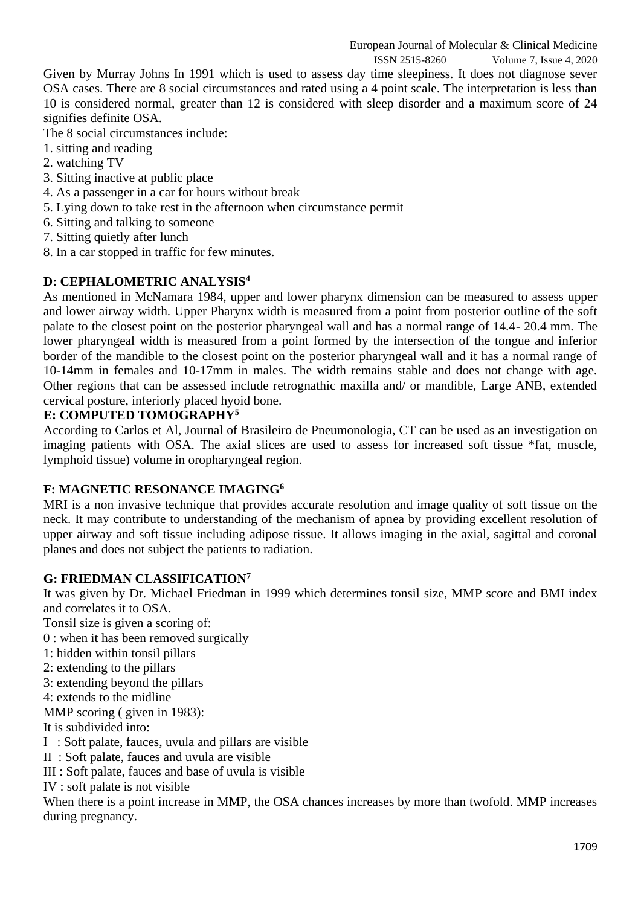ISSN 2515-8260 Volume 7, Issue 4, 2020

Given by Murray Johns In 1991 which is used to assess day time sleepiness. It does not diagnose sever OSA cases. There are 8 social circumstances and rated using a 4 point scale. The interpretation is less than 10 is considered normal, greater than 12 is considered with sleep disorder and a maximum score of 24 signifies definite OSA.

The 8 social circumstances include:

- 1. sitting and reading
- 2. watching TV
- 3. Sitting inactive at public place
- 4. As a passenger in a car for hours without break
- 5. Lying down to take rest in the afternoon when circumstance permit
- 6. Sitting and talking to someone
- 7. Sitting quietly after lunch
- 8. In a car stopped in traffic for few minutes.

## **D: CEPHALOMETRIC ANALYSIS<sup>4</sup>**

As mentioned in McNamara 1984, upper and lower pharynx dimension can be measured to assess upper and lower airway width. Upper Pharynx width is measured from a point from posterior outline of the soft palate to the closest point on the posterior pharyngeal wall and has a normal range of 14.4- 20.4 mm. The lower pharyngeal width is measured from a point formed by the intersection of the tongue and inferior border of the mandible to the closest point on the posterior pharyngeal wall and it has a normal range of 10-14mm in females and 10-17mm in males. The width remains stable and does not change with age. Other regions that can be assessed include retrognathic maxilla and/ or mandible, Large ANB, extended cervical posture, inferiorly placed hyoid bone.

## **E: COMPUTED TOMOGRAPHY<sup>5</sup>**

According to Carlos et Al, Journal of Brasileiro de Pneumonologia, CT can be used as an investigation on imaging patients with OSA. The axial slices are used to assess for increased soft tissue \*fat, muscle, lymphoid tissue) volume in oropharyngeal region.

## **F: MAGNETIC RESONANCE IMAGING<sup>6</sup>**

MRI is a non invasive technique that provides accurate resolution and image quality of soft tissue on the neck. It may contribute to understanding of the mechanism of apnea by providing excellent resolution of upper airway and soft tissue including adipose tissue. It allows imaging in the axial, sagittal and coronal planes and does not subject the patients to radiation.

#### **G: FRIEDMAN CLASSIFICATION<sup>7</sup>**

It was given by Dr. Michael Friedman in 1999 which determines tonsil size, MMP score and BMI index and correlates it to OSA.

Tonsil size is given a scoring of:

0 : when it has been removed surgically

- 1: hidden within tonsil pillars
- 2: extending to the pillars
- 3: extending beyond the pillars
- 4: extends to the midline

MMP scoring ( given in 1983):

It is subdivided into:

I : Soft palate, fauces, uvula and pillars are visible

II : Soft palate, fauces and uvula are visible

III : Soft palate, fauces and base of uvula is visible

IV : soft palate is not visible

When there is a point increase in MMP, the OSA chances increases by more than twofold. MMP increases during pregnancy.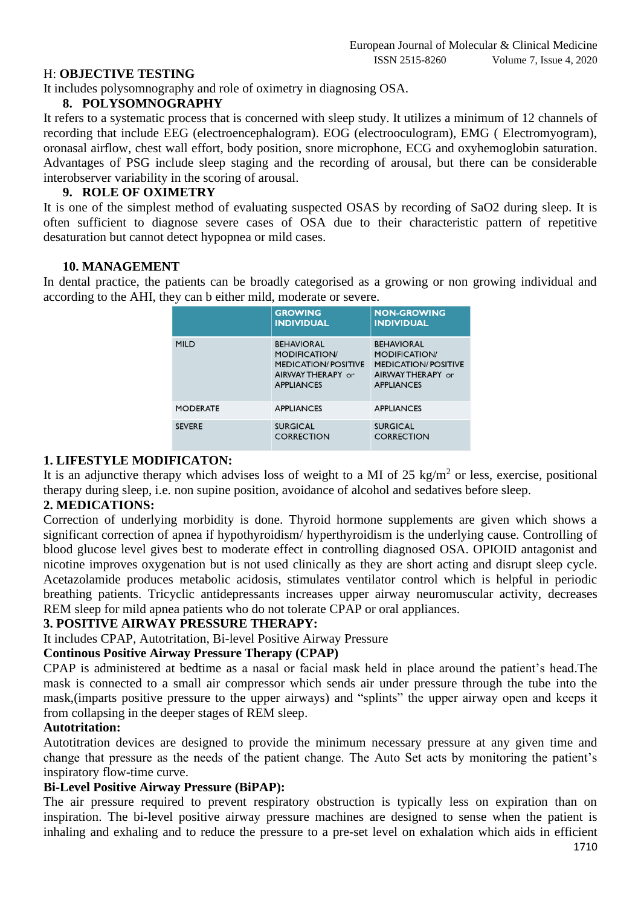#### H: **OBJECTIVE TESTING**

It includes polysomnography and role of oximetry in diagnosing OSA.

#### **8. POLYSOMNOGRAPHY**

It refers to a systematic process that is concerned with sleep study. It utilizes a minimum of 12 channels of recording that include EEG (electroencephalogram). EOG (electrooculogram), EMG ( Electromyogram), oronasal airflow, chest wall effort, body position, snore microphone, ECG and oxyhemoglobin saturation. Advantages of PSG include sleep staging and the recording of arousal, but there can be considerable interobserver variability in the scoring of arousal.

#### **9. ROLE OF OXIMETRY**

It is one of the simplest method of evaluating suspected OSAS by recording of SaO2 during sleep. It is often sufficient to diagnose severe cases of OSA due to their characteristic pattern of repetitive desaturation but cannot detect hypopnea or mild cases.

#### **10. MANAGEMENT**

In dental practice, the patients can be broadly categorised as a growing or non growing individual and according to the AHI, they can b either mild, moderate or severe.

|                 | <b>GROWING</b><br><b>INDIVIDUAL</b>                                                                               | <b>NON-GROWING</b><br><b>INDIVIDUAL</b>                                                                          |
|-----------------|-------------------------------------------------------------------------------------------------------------------|------------------------------------------------------------------------------------------------------------------|
| <b>MILD</b>     | <b>BEHAVIORAL</b><br><b>MODIFICATION/</b><br><b>MEDICATION/POSITIVE</b><br>AIRWAY THERAPY or<br><b>APPLIANCES</b> | <b>BEHAVIORAL</b><br><b>MODIFICATION</b><br><b>MEDICATION/POSITIVE</b><br>AIRWAY THERAPY or<br><b>APPLIANCES</b> |
| <b>MODERATE</b> | <b>APPLIANCES</b>                                                                                                 | <b>APPLIANCES</b>                                                                                                |
| <b>SEVERE</b>   | <b>SURGICAL</b><br><b>CORRECTION</b>                                                                              | <b>SURGICAL</b><br><b>CORRECTION</b>                                                                             |

#### **1. LIFESTYLE MODIFICATON:**

It is an adjunctive therapy which advises loss of weight to a MI of 25 kg/m<sup>2</sup> or less, exercise, positional therapy during sleep, i.e. non supine position, avoidance of alcohol and sedatives before sleep.

#### **2. MEDICATIONS:**

Correction of underlying morbidity is done. Thyroid hormone supplements are given which shows a significant correction of apnea if hypothyroidism/ hyperthyroidism is the underlying cause. Controlling of blood glucose level gives best to moderate effect in controlling diagnosed OSA. OPIOID antagonist and nicotine improves oxygenation but is not used clinically as they are short acting and disrupt sleep cycle. Acetazolamide produces metabolic acidosis, stimulates ventilator control which is helpful in periodic breathing patients. Tricyclic antidepressants increases upper airway neuromuscular activity, decreases REM sleep for mild apnea patients who do not tolerate CPAP or oral appliances.

## **3. POSITIVE AIRWAY PRESSURE THERAPY:**

It includes CPAP, Autotritation, Bi-level Positive Airway Pressure

## **Continous Positive Airway Pressure Therapy (CPAP)**

CPAP is administered at bedtime as a nasal or facial mask held in place around the patient's head.The mask is connected to a small air compressor which sends air under pressure through the tube into the mask,(imparts positive pressure to the upper airways) and "splints" the upper airway open and keeps it from collapsing in the deeper stages of REM sleep.

#### **Autotritation:**

Autotitration devices are designed to provide the minimum necessary pressure at any given time and change that pressure as the needs of the patient change. The Auto Set acts by monitoring the patient's inspiratory flow-time curve.

## **Bi-Level Positive Airway Pressure (BiPAP):**

The air pressure required to prevent respiratory obstruction is typically less on expiration than on inspiration. The bi-level positive airway pressure machines are designed to sense when the patient is inhaling and exhaling and to reduce the pressure to a pre-set level on exhalation which aids in efficient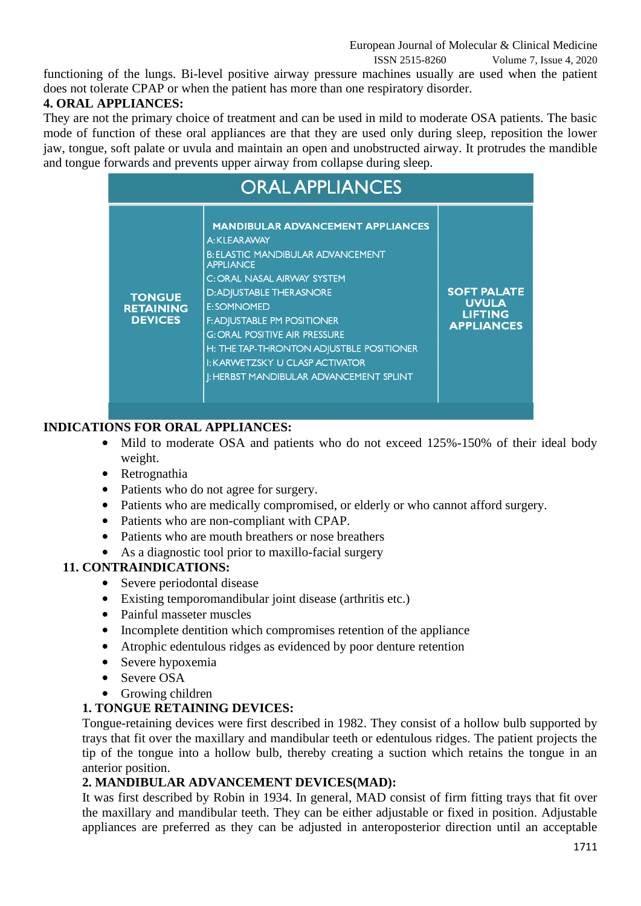ISSN 2515-8260 Volume 7, Issue 4, 2020

functioning of the lungs. Bi-level positive airway pressure machines usually are used when the patient does not tolerate CPAP or when the patient has more than one respiratory disorder.

# **4. ORAL APPLIANCES:**

They are not the primary choice of treatment and can be used in mild to moderate OSA patients. The basic mode of function of these oral appliances are that they are used only during sleep, reposition the lower jaw, tongue, soft palate or uvula and maintain an open and unobstructed airway. It protrudes the mandible and tongue forwards and prevents upper airway from collapse during sleep.

| <b>ORAL APPLIANCES</b>                              |                                                                                                                                                                                                                                                                                                                                                                                                                                      |                                                                           |  |
|-----------------------------------------------------|--------------------------------------------------------------------------------------------------------------------------------------------------------------------------------------------------------------------------------------------------------------------------------------------------------------------------------------------------------------------------------------------------------------------------------------|---------------------------------------------------------------------------|--|
| <b>TONGUE</b><br><b>RETAINING</b><br><b>DEVICES</b> | <b>MANDIBULAR ADVANCEMENT APPLIANCES</b><br>A: KLEARAWAY<br><b>B: ELASTIC MANDIBULAR ADVANCEMENT</b><br><b>APPLIANCE</b><br>C: ORAL NASAL AIRWAY SYSTEM<br><b>D:ADJUSTABLE THERASNORE</b><br><b>E:SOMNOMED</b><br><b>F: ADJUSTABLE PM POSITIONER</b><br><b>G: ORAL POSITIVE AIR PRESSURE</b><br>H: THE TAP-THRONTON ADJUSTBLE POSITIONER<br><b>I: KARWETZSKY U CLASP ACTIVATOR</b><br><b>I: HERBST MANDIBULAR ADVANCEMENT SPLINT</b> | <b>SOFT PALATE</b><br><b>UVULA</b><br><b>LIFTING</b><br><b>APPLIANCES</b> |  |

# **INDICATIONS FOR ORAL APPLIANCES:**

- Mild to moderate OSA and patients who do not exceed 125%-150% of their ideal body weight.
- Retrognathia
- Patients who do not agree for surgery.
- Patients who are medically compromised, or elderly or who cannot afford surgery.
- Patients who are non-compliant with CPAP.
- Patients who are mouth breathers or nose breathers
- As a diagnostic tool prior to maxillo-facial surgery

# **11. CONTRAINDICATIONS:**

- Severe periodontal disease
- Existing temporomandibular joint disease (arthritis etc.)
- Painful masseter muscles
- Incomplete dentition which compromises retention of the appliance
- Atrophic edentulous ridges as evidenced by poor denture retention
- Severe hypoxemia
- Severe OSA
- Growing children

# **1. TONGUE RETAINING DEVICES:**

Tongue-retaining devices were first described in 1982. They consist of a hollow bulb supported by trays that fit over the maxillary and mandibular teeth or edentulous ridges. The patient projects the tip of the tongue into a hollow bulb, thereby creating a suction which retains the tongue in an anterior position.

# **2. MANDIBULAR ADVANCEMENT DEVICES(MAD):**

It was first described by Robin in 1934. In general, MAD consist of firm fitting trays that fit over the maxillary and mandibular teeth. They can be either adjustable or fixed in position. Adjustable appliances are preferred as they can be adjusted in anteroposterior direction until an acceptable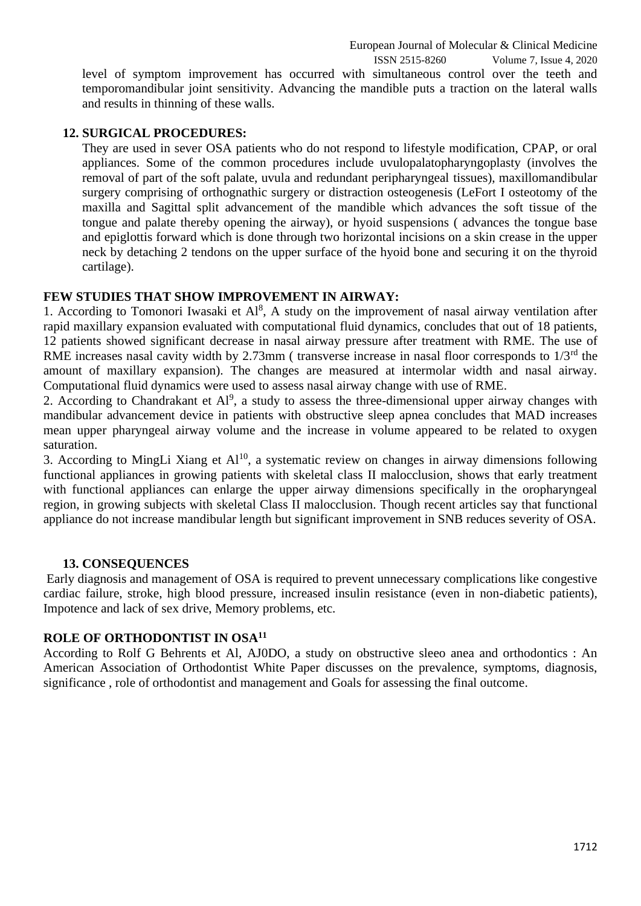## **12. SURGICAL PROCEDURES:**

They are used in sever OSA patients who do not respond to lifestyle modification, CPAP, or oral appliances. Some of the common procedures include uvulopalatopharyngoplasty (involves the removal of part of the soft palate, uvula and redundant peripharyngeal tissues), maxillomandibular surgery comprising of orthognathic surgery or distraction osteogenesis (LeFort I osteotomy of the maxilla and Sagittal split advancement of the mandible which advances the soft tissue of the tongue and palate thereby opening the airway), or hyoid suspensions ( advances the tongue base and epiglottis forward which is done through two horizontal incisions on a skin crease in the upper neck by detaching 2 tendons on the upper surface of the hyoid bone and securing it on the thyroid cartilage).

## **FEW STUDIES THAT SHOW IMPROVEMENT IN AIRWAY:**

1. According to Tomonori Iwasaki et  $Al^8$ , A study on the improvement of nasal airway ventilation after rapid maxillary expansion evaluated with computational fluid dynamics, concludes that out of 18 patients, 12 patients showed significant decrease in nasal airway pressure after treatment with RME. The use of RME increases nasal cavity width by 2.73mm ( transverse increase in nasal floor corresponds to  $1/3<sup>rd</sup>$  the amount of maxillary expansion). The changes are measured at intermolar width and nasal airway. Computational fluid dynamics were used to assess nasal airway change with use of RME.

2. According to Chandrakant et  $Al^9$ , a study to assess the three-dimensional upper airway changes with mandibular advancement device in patients with obstructive sleep apnea concludes that MAD increases mean upper pharyngeal airway volume and the increase in volume appeared to be related to oxygen saturation.

3. According to MingLi Xiang et  $Al^{10}$ , a systematic review on changes in airway dimensions following functional appliances in growing patients with skeletal class II malocclusion, shows that early treatment with functional appliances can enlarge the upper airway dimensions specifically in the oropharyngeal region, in growing subjects with skeletal Class II malocclusion. Though recent articles say that functional appliance do not increase mandibular length but significant improvement in SNB reduces severity of OSA.

#### **13. CONSEQUENCES**

Early diagnosis and management of OSA is required to prevent unnecessary complications like congestive cardiac failure, stroke, high blood pressure, increased insulin resistance (even in non-diabetic patients), Impotence and lack of sex drive, Memory problems, etc.

## **ROLE OF ORTHODONTIST IN OSA<sup>11</sup>**

According to Rolf G Behrents et Al, AJ0DO, a study on obstructive sleeo anea and orthodontics : An American Association of Orthodontist White Paper discusses on the prevalence, symptoms, diagnosis, significance , role of orthodontist and management and Goals for assessing the final outcome.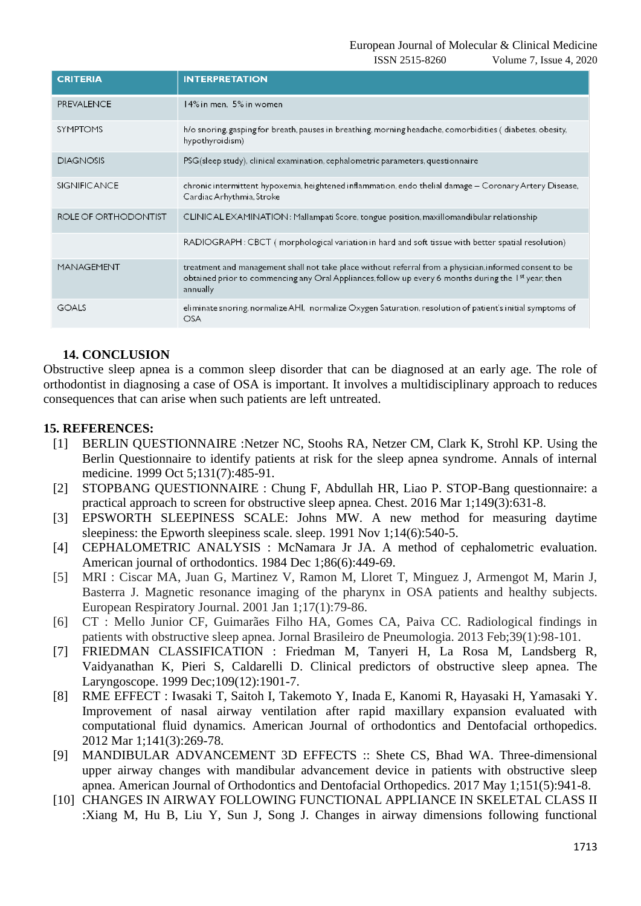ISSN 2515-8260 Volume 7, Issue 4, 2020

| <b>CRITERIA</b>      | <b>INTERPRETATION</b>                                                                                                                                                                                                                   |  |
|----------------------|-----------------------------------------------------------------------------------------------------------------------------------------------------------------------------------------------------------------------------------------|--|
| <b>PREVALENCE</b>    | 14% in men, 5% in women                                                                                                                                                                                                                 |  |
| <b>SYMPTOMS</b>      | h/o snoring gasping for breath, pauses in breathing, morning headache, comorbidities (diabetes, obesity,<br>hypothyroidism)                                                                                                             |  |
| <b>DIAGNOSIS</b>     | PSG(sleep study), clinical examination, cephalometric parameters, questionnaire                                                                                                                                                         |  |
| <b>SIGNIFICANCE</b>  | chronic intermittent hypoxemia, heightened inflammation, endo thelial damage - Coronary Artery Disease,<br>Cardiac Arhythmia, Stroke                                                                                                    |  |
| ROLE OF ORTHODONTIST | CLINICAL EXAMINATION: Mallampati Score, tongue position, maxillomandibular relationship                                                                                                                                                 |  |
|                      | RADIOGRAPH: CBCT (morphological variation in hard and soft tissue with better spatial resolution)                                                                                                                                       |  |
| MANAGEMENT           | treatment and management shall not take place without referral from a physician, informed consent to be<br>obtained prior to commencing any Oral Appliances, follow up every 6 months during the 1 <sup>st</sup> year, then<br>annually |  |
| <b>GOALS</b>         | eliminate snoring, normalize AHI, normalize Oxygen Saturation, resolution of patient's initial symptoms of<br><b>OSA</b>                                                                                                                |  |

## **14. CONCLUSION**

Obstructive sleep apnea is a common sleep disorder that can be diagnosed at an early age. The role of orthodontist in diagnosing a case of OSA is important. It involves a multidisciplinary approach to reduces consequences that can arise when such patients are left untreated.

#### **15. REFERENCES:**

- [1] BERLIN QUESTIONNAIRE :Netzer NC, Stoohs RA, Netzer CM, Clark K, Strohl KP. Using the Berlin Questionnaire to identify patients at risk for the sleep apnea syndrome. Annals of internal medicine. 1999 Oct 5;131(7):485-91.
- [2] STOPBANG QUESTIONNAIRE : Chung F, Abdullah HR, Liao P. STOP-Bang questionnaire: a practical approach to screen for obstructive sleep apnea. Chest. 2016 Mar 1;149(3):631-8.
- [3] EPSWORTH SLEEPINESS SCALE: Johns MW. A new method for measuring daytime sleepiness: the Epworth sleepiness scale. sleep. 1991 Nov 1;14(6):540-5.
- [4] CEPHALOMETRIC ANALYSIS : McNamara Jr JA. A method of cephalometric evaluation. American journal of orthodontics. 1984 Dec 1;86(6):449-69.
- [5] MRI : Ciscar MA, Juan G, Martinez V, Ramon M, Lloret T, Minguez J, Armengot M, Marin J, Basterra J. Magnetic resonance imaging of the pharynx in OSA patients and healthy subjects. European Respiratory Journal. 2001 Jan 1;17(1):79-86.
- [6] CT : Mello Junior CF, Guimarães Filho HA, Gomes CA, Paiva CC. Radiological findings in patients with obstructive sleep apnea. Jornal Brasileiro de Pneumologia. 2013 Feb;39(1):98-101.
- [7] FRIEDMAN CLASSIFICATION : Friedman M, Tanyeri H, La Rosa M, Landsberg R, Vaidyanathan K, Pieri S, Caldarelli D. Clinical predictors of obstructive sleep apnea. The Laryngoscope. 1999 Dec;109(12):1901-7.
- [8] RME EFFECT : Iwasaki T, Saitoh I, Takemoto Y, Inada E, Kanomi R, Hayasaki H, Yamasaki Y. Improvement of nasal airway ventilation after rapid maxillary expansion evaluated with computational fluid dynamics. American Journal of orthodontics and Dentofacial orthopedics. 2012 Mar 1;141(3):269-78.
- [9] MANDIBULAR ADVANCEMENT 3D EFFECTS :: Shete CS, Bhad WA. Three-dimensional upper airway changes with mandibular advancement device in patients with obstructive sleep apnea. American Journal of Orthodontics and Dentofacial Orthopedics. 2017 May 1;151(5):941-8.
- [10] CHANGES IN AIRWAY FOLLOWING FUNCTIONAL APPLIANCE IN SKELETAL CLASS II :Xiang M, Hu B, Liu Y, Sun J, Song J. Changes in airway dimensions following functional